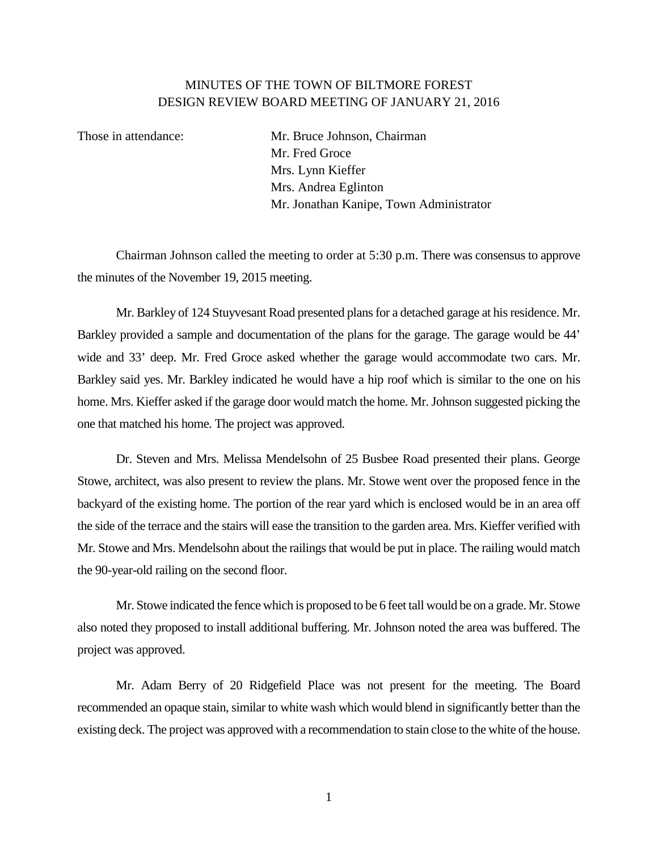## MINUTES OF THE TOWN OF BILTMORE FOREST DESIGN REVIEW BOARD MEETING OF JANUARY 21, 2016

Those in attendance: Mr. Bruce Johnson, Chairman Mr. Fred Groce Mrs. Lynn Kieffer Mrs. Andrea Eglinton Mr. Jonathan Kanipe, Town Administrator

Chairman Johnson called the meeting to order at 5:30 p.m. There was consensus to approve the minutes of the November 19, 2015 meeting.

Mr. Barkley of 124 Stuyvesant Road presented plans for a detached garage at his residence. Mr. Barkley provided a sample and documentation of the plans for the garage. The garage would be 44' wide and 33' deep. Mr. Fred Groce asked whether the garage would accommodate two cars. Mr. Barkley said yes. Mr. Barkley indicated he would have a hip roof which is similar to the one on his home. Mrs. Kieffer asked if the garage door would match the home. Mr. Johnson suggested picking the one that matched his home. The project was approved.

Dr. Steven and Mrs. Melissa Mendelsohn of 25 Busbee Road presented their plans. George Stowe, architect, was also present to review the plans. Mr. Stowe went over the proposed fence in the backyard of the existing home. The portion of the rear yard which is enclosed would be in an area off the side of the terrace and the stairs will ease the transition to the garden area. Mrs. Kieffer verified with Mr. Stowe and Mrs. Mendelsohn about the railings that would be put in place. The railing would match the 90-year-old railing on the second floor.

Mr. Stowe indicated the fence which is proposed to be 6 feet tall would be on a grade. Mr. Stowe also noted they proposed to install additional buffering. Mr. Johnson noted the area was buffered. The project was approved.

Mr. Adam Berry of 20 Ridgefield Place was not present for the meeting. The Board recommended an opaque stain, similar to white wash which would blend in significantly better than the existing deck. The project was approved with a recommendation to stain close to the white of the house.